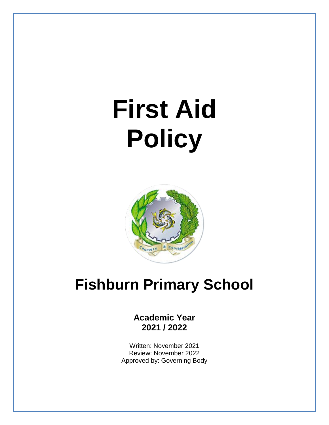# **First Aid Policy**



## **Fishburn Primary School**

### **Academic Year 2021 / 2022**

Written: November 2021 Review: November 2022 Approved by: Governing Body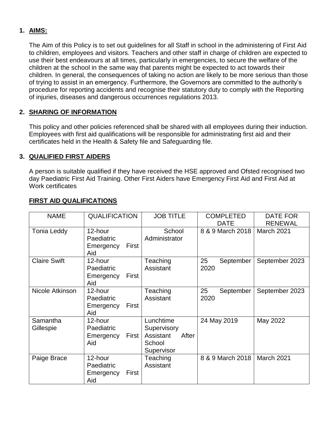#### **1. AIMS:**

The Aim of this Policy is to set out guidelines for all Staff in school in the administering of First Aid to children, employees and visitors. Teachers and other staff in charge of children are expected to use their best endeavours at all times, particularly in emergencies, to secure the welfare of the children at the school in the same way that parents might be expected to act towards their children. In general, the consequences of taking no action are likely to be more serious than those of trying to assist in an emergency. Furthermore, the Governors are committed to the authority's procedure for reporting accidents and recognise their statutory duty to comply with the Reporting of injuries, diseases and dangerous occurrences regulations 2013.

#### **2. SHARING OF INFORMATION**

This policy and other policies referenced shall be shared with all employees during their induction. Employees with first aid qualifications will be responsible for administrating first aid and their certificates held in the Health & Safety file and Safeguarding file.

#### **3. QUALIFIED FIRST AIDERS**

A person is suitable qualified if they have received the HSE approved and Ofsted recognised two day Paediatric First Aid Training. Other First Aiders have Emergency First Aid and First Aid at Work certificates

| <b>NAME</b>           | <b>QUALIFICATION</b>                               | <b>JOB TITLE</b>                                                       | <b>COMPLETED</b><br><b>DATE</b> | DATE FOR<br><b>RENEWAL</b> |
|-----------------------|----------------------------------------------------|------------------------------------------------------------------------|---------------------------------|----------------------------|
| Tonia Leddy           | 12-hour<br>Paediatric<br>First<br>Emergency<br>Aid | School<br>Administrator                                                | 8 & 9 March 2018                | March 2021                 |
| <b>Claire Swift</b>   | 12-hour<br>Paediatric<br>First<br>Emergency<br>Aid | Teaching<br>Assistant                                                  | 25<br>September<br>2020         | September 2023             |
| Nicole Atkinson       | 12-hour<br>Paediatric<br>First<br>Emergency<br>Aid | Teaching<br>Assistant                                                  | 25<br>September<br>2020         | September 2023             |
| Samantha<br>Gillespie | 12-hour<br>Paediatric<br>First<br>Emergency<br>Aid | Lunchtime<br>Supervisory<br>Assistant<br>After<br>School<br>Supervisor | 24 May 2019                     | May 2022                   |
| Paige Brace           | 12-hour<br>Paediatric<br>Emergency<br>First<br>Aid | Teaching<br>Assistant                                                  | 8 & 9 March 2018                | March 2021                 |

#### **FIRST AID QUALIFICATIONS**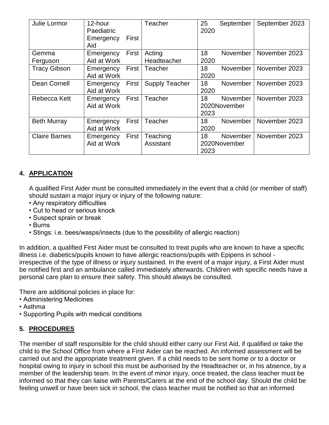| Julie Lormor         | 12-hour<br>Paediatric<br>Emergency<br>Aid | First              | <b>Teacher</b>        | 25<br>2020   | September       | September 2023 |
|----------------------|-------------------------------------------|--------------------|-----------------------|--------------|-----------------|----------------|
| Gemma                | Emergency                                 | First <sup>1</sup> | Acting                | 18           | November        | November 2023  |
| Ferguson             | Aid at Work                               |                    | Headteacher           | 2020         |                 |                |
| <b>Tracy Gibson</b>  | Emergency                                 | First              | Teacher               | 18           | November I      | November 2023  |
|                      | Aid at Work                               |                    |                       | 2020         |                 |                |
| Dean Cornell         | Emergency                                 | First              | <b>Supply Teacher</b> | 18           | November I      | November 2023  |
|                      | Aid at Work                               |                    |                       | 2020         |                 |                |
| Rebecca Kett         | Emergency                                 | First              | Teacher               | 18           | November        | November 2023  |
|                      | Aid at Work                               |                    | 2020November          |              |                 |                |
|                      |                                           |                    |                       | 2023         |                 |                |
| <b>Beth Murray</b>   | Emergency                                 | First I            | Teacher               | 18           | <b>November</b> | November 2023  |
|                      | Aid at Work                               |                    |                       | 2020         |                 |                |
| <b>Claire Barnes</b> | Emergency                                 | First              | Teaching              | 18           | November        | November 2023  |
|                      | Aid at Work                               |                    | Assistant             | 2020November |                 |                |
|                      |                                           |                    |                       | 2023         |                 |                |

#### **4. APPLICATION**

A qualified First Aider must be consulted immediately in the event that a child (or member of staff) should sustain a major injury or injury of the following nature:

- Any respiratory difficulties
- Cut to head or serious knock
- Suspect sprain or break
- Burns
- Stings: i.e. bees/wasps/insects (due to the possibility of allergic reaction)

In addition, a qualified First Aider must be consulted to treat pupils who are known to have a specific illness i.e. diabetics/pupils known to have allergic reactions/pupils with Epipens in school irrespective of the type of illness or injury sustained. In the event of a major injury, a First Aider must be notified first and an ambulance called immediately afterwards. Children with specific needs have a personal care plan to ensure their safety. This should always be consulted.

There are additional policies in place for:

- Administering Medicines
- Asthma
- Supporting Pupils with medical conditions

#### **5. PROCEDURES**

The member of staff responsible for the child should either carry our First Aid, if qualified or take the child to the School Office from where a First Aider can be reached. An informed assessment will be carried out and the appropriate treatment given. If a child needs to be sent home or to a doctor or hospital owing to injury in school this must be authorised by the Headteacher or, in his absence, by a member of the leadership team. In the event of minor injury, once treated, the class teacher must be informed so that they can liaise with Parents/Carers at the end of the school day. Should the child be feeling unwell or have been sick in school, the class teacher must be notified so that an informed